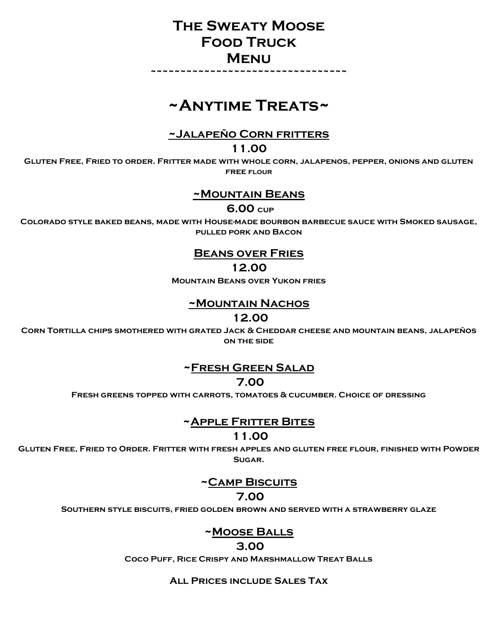## **The Sweaty Moose Food Truck Menu**

**~~~~~~~~~~~~~~~~~~~~~~~~~~~~~~~~~**

# **~Anytime Treats~**

**~Jalapeño Corn fritters**

**11.00**

**Gluten Free, Fried to order. Fritter made with whole corn, jalapenos, pepper, onions and gluten free flour**

#### **~Mountain Beans**

**6.00 cup**

**Colorado style baked beans, made with House-made bourbon barbecue sauce with Smoked sausage, pulled pork and Bacon**

## **Beans over Fries**

**12.00**

**Mountain Beans over Yukon fries**

#### **~Mountain Nachos**

**12.00**

**Corn Tortilla chips smothered with grated Jack & Cheddar cheese and mountain beans, jalapeños on the side**

## **~Fresh Green Salad**

**7.00**

**Fresh greens topped with carrots, tomatoes & cucumber. Choice of dressing**

**~Apple Fritter Bites**

**11.00**

**Gluten Free, Fried to Order. Fritter with fresh apples and gluten free flour, finished with Powder Sugar.**

#### **~Camp Biscuits**

#### **7.00**

**Southern style biscuits, fried golden brown and served with a strawberry glaze**

## **~Moose Balls**

#### **3.00**

**Coco Puff, Rice Crispy and Marshmallow Treat Balls**

**All Prices include Sales Tax**